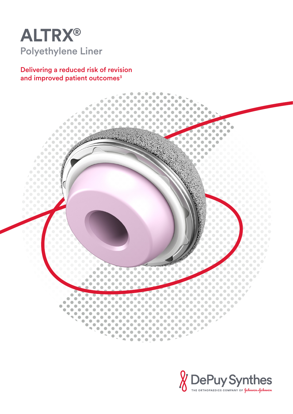

Delivering a reduced risk of revision and improved patient outcomes<sup>3</sup>



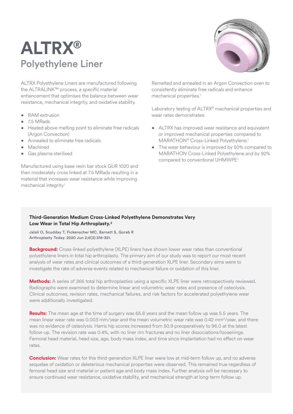# **ALTRX®** Polyethylene Liner

ALTRX Polyethylene Liners are manufactured following the ALTRALINK™ process, a specific material enhancement that optimises the balance between wear resistance, mechanical integrity, and oxidative stability.

- RAM extrusion
- 7.5 MRads
- Heated above melting point to eliminate free radicals (Argon Convection)
- Annealed to eliminate free radicals
- Machined
- Gas plasma sterilised

Manufactured using base resin bar stock GUR 1020 and then moderately cross linked at 7.5 MRads resulting in a material that increases wear resistance while improving mechanical integrity.<sup>1</sup>



Remelted and annealed in an Argon Convection oven to consistently eliminate free radicals and enhance mechanical properties.<sup>1</sup>

Laboratory testing of ALTRX® mechanical properties and wear rates demonstrates:

- ALTRX has improved wear resistance and equivalent or improved mechanical properties compared to MARATHON® Cross-Linked Polyethylene.<sup>1</sup>
- The wear behaviour is improved by 50% compared to MARATHON Cross-Linked Polyethylene and by 92% compared to conventional UHMWPE.1

### **Third-Generation Medium Cross-Linked Polyethylene Demonstrates Very Low Wear in Total Hip Arthroplasty.2**

Jalali O, Scudday T, Fickenscher MC, Barnett S, Gorab R Arthroplasty Today. 2020 Jun 2;6(3):316-321.

**Background:** Cross-linked polyethylene (XLPE) liners have shown lower wear rates than conventional polyethylene liners in total hip arthroplasty. The primary aim of our study was to report our most recent analysis of wear rates and clinical outcomes of a third-generation XLPE liner. Secondary aims were to investigate the rate of adverse events related to mechanical failure or oxidation of this liner.

**Methods:** A series of 266 total hip arthroplasties using a specific XLPE liner were retrospectively reviewed. Radiographs were examined to determine linear and volumetric wear rates and presence of osteolysis. Clinical outcomes, revision rates, mechanical failures, and risk factors for accelerated polyethylene wear were additionally investigated.

**Results:** The mean age at the time of surgery was 65.8 years and the mean follow up was 5.5 years. The mean linear wear rate was 0.003 mm/year and the mean volumetric wear rate was 0.42 mm<sup>3</sup>/year, and there was no evidence of osteolysis. Harris hip scores increased from 50.9 preoperatively to 96.0 at the latest follow-up. The revision rate was 0.4%, with no liner rim fractures and no liner dissociations/loosenings. Femoral head material, head size, age, body mass index, and time since implantation had no effect on wear rates.

**Conclusion:** Wear rates for this third-generation XLPE liner were low at mid-term follow up, and no adverse sequelae of oxidation or deleterious mechanical properties were observed. This remained true regardless of femoral head size and material or patient age and body mass index. Further analysis will be necessary to ensure continued wear resistance, oxidative stability, and mechanical strength at long-term follow up.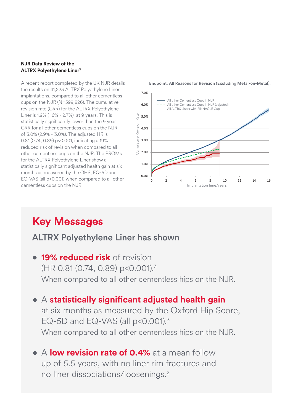### **NJR Data Review of the ALTRX Polyethylene Liner3**

A recent report completed by the UK NJR details the results on 41,223 ALTRX Polyethylene Liner implantations, compared to all other cementless cups on the NJR (N=599,826). The cumulative revision rate (CRR) for the ALTRX Polyethylene Liner is 1.9% (1.6% - 2.7%) at 9 years. This is statistically significantly lower than the 9 year CRR for all other cementless cups on the NJR of 3.0% (2.9% - 3.0%). The adjusted HR is 0.81 (0.74, 0.89) p<0.001, indicating a 19% reduced risk of revision when compared to all other cementless cups on the NJR. The PROMs for the ALTRX Polyethylene Liner show a statistically significant adjusted health gain at six months as measured by the OHS, EQ-5D and EQ-VAS (all p<0.001) when compared to all other cementless cups on the NJR.



Endpoint: All Reasons for Revision (Excluding Metal-on-Metal).

## **Key Messages**

### ALTRX Polyethylene Liner has shown when  $\blacksquare$

- **• 19% reduced risk** of revision (HR 0.81 (0.74, 0.89) p<0.001).<sup>3</sup> When compared to all other cementless hips on the NJR.
- A **statistically significant adjusted health gain** at six months as measured by the Oxford Hip Score, EQ-5D and EQ-VAS (all  $p$ <0.001).<sup>3</sup> When compared to all other cementless hips on the NJR.
- A **low revision rate of 0.4%** at a mean follow up of 5.5 years, with no liner rim fractures and no liner dissociations/loosenings.2